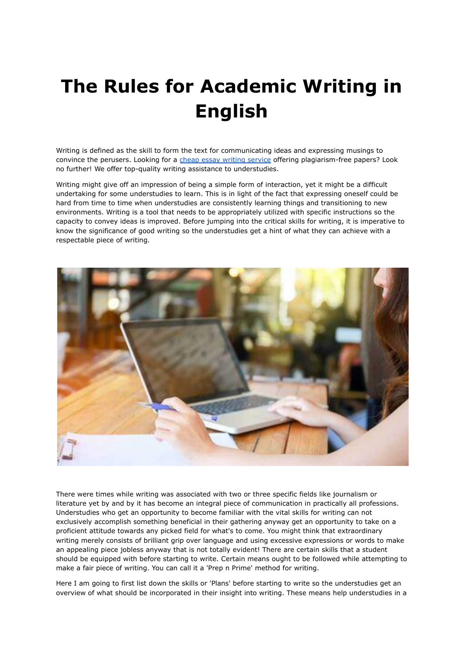## **The Rules for Academic Writing in English**

Writing is defined as the skill to form the text for communicating ideas and expressing musings to convince the perusers. Looking for a cheap essay writing [service](https://essayhours.com/) offering plagiarism-free papers? Look no further! We offer top-quality writing assistance to understudies.

Writing might give off an impression of being a simple form of interaction, yet it might be a difficult undertaking for some understudies to learn. This is in light of the fact that expressing oneself could be hard from time to time when understudies are consistently learning things and transitioning to new environments. Writing is a tool that needs to be appropriately utilized with specific instructions so the capacity to convey ideas is improved. Before jumping into the critical skills for writing, it is imperative to know the significance of good writing so the understudies get a hint of what they can achieve with a respectable piece of writing.



There were times while writing was associated with two or three specific fields like journalism or literature yet by and by it has become an integral piece of communication in practically all professions. Understudies who get an opportunity to become familiar with the vital skills for writing can not exclusively accomplish something beneficial in their gathering anyway get an opportunity to take on a proficient attitude towards any picked field for what's to come. You might think that extraordinary writing merely consists of brilliant grip over language and using excessive expressions or words to make an appealing piece jobless anyway that is not totally evident! There are certain skills that a student should be equipped with before starting to write. Certain means ought to be followed while attempting to make a fair piece of writing. You can call it a 'Prep n Prime' method for writing.

Here I am going to first list down the skills or 'Plans' before starting to write so the understudies get an overview of what should be incorporated in their insight into writing. These means help understudies in a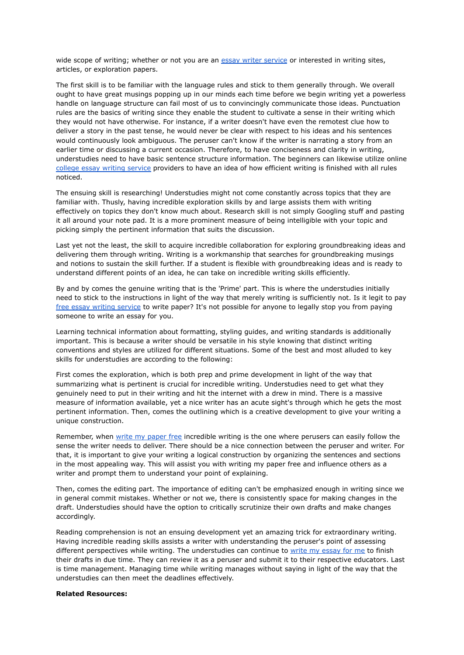wide scope of writing; whether or not you are an essay writer [service](https://essayhours.com/) or interested in writing sites, articles, or exploration papers.

The first skill is to be familiar with the language rules and stick to them generally through. We overall ought to have great musings popping up in our minds each time before we begin writing yet a powerless handle on language structure can fail most of us to convincingly communicate those ideas. Punctuation rules are the basics of writing since they enable the student to cultivate a sense in their writing which they would not have otherwise. For instance, if a writer doesn't have even the remotest clue how to deliver a story in the past tense, he would never be clear with respect to his ideas and his sentences would continuously look ambiguous. The peruser can't know if the writer is narrating a story from an earlier time or discussing a current occasion. Therefore, to have conciseness and clarity in writing, understudies need to have basic sentence structure information. The beginners can likewise utilize online college essay writing [service](https://www.essaywriter.college/) providers to have an idea of how efficient writing is finished with all rules noticed.

The ensuing skill is researching! Understudies might not come constantly across topics that they are familiar with. Thusly, having incredible exploration skills by and large assists them with writing effectively on topics they don't know much about. Research skill is not simply Googling stuff and pasting it all around your note pad. It is a more prominent measure of being intelligible with your topic and picking simply the pertinent information that suits the discussion.

Last yet not the least, the skill to acquire incredible collaboration for exploring groundbreaking ideas and delivering them through writing. Writing is a workmanship that searches for groundbreaking musings and notions to sustain the skill further. If a student is flexible with groundbreaking ideas and is ready to understand different points of an idea, he can take on incredible writing skills efficiently.

By and by comes the genuine writing that is the 'Prime' part. This is where the understudies initially need to stick to the instructions in light of the way that merely writing is sufficiently not. Is it legit to pay free essay writing [service](https://www.essaywriter.college/) to write paper? It's not possible for anyone to legally stop you from paying someone to write an essay for you.

Learning technical information about formatting, styling guides, and writing standards is additionally important. This is because a writer should be versatile in his style knowing that distinct writing conventions and styles are utilized for different situations. Some of the best and most alluded to key skills for understudies are according to the following:

First comes the exploration, which is both prep and prime development in light of the way that summarizing what is pertinent is crucial for incredible writing. Understudies need to get what they genuinely need to put in their writing and hit the internet with a drew in mind. There is a massive measure of information available, yet a nice writer has an acute sight's through which he gets the most pertinent information. Then, comes the outlining which is a creative development to give your writing a unique construction.

Remember, when write my [paper](https://essayhours.com/) free incredible writing is the one where perusers can easily follow the sense the writer needs to deliver. There should be a nice connection between the peruser and writer. For that, it is important to give your writing a logical construction by organizing the sentences and sections in the most appealing way. This will assist you with writing my paper free and influence others as a writer and prompt them to understand your point of explaining.

Then, comes the editing part. The importance of editing can't be emphasized enough in writing since we in general commit mistakes. Whether or not we, there is consistently space for making changes in the draft. Understudies should have the option to critically scrutinize their own drafts and make changes accordingly.

Reading comprehension is not an ensuing development yet an amazing trick for extraordinary writing. Having incredible reading skills assists a writer with understanding the peruser's point of assessing different perspectives while writing. The understudies can continue to write my [essay](https://www.myperfectwords.com/) for me to finish their drafts in due time. They can review it as a peruser and submit it to their respective educators. Last is time management. Managing time while writing manages without saying in light of the way that the understudies can then meet the deadlines effectively.

## **Related Resources:**